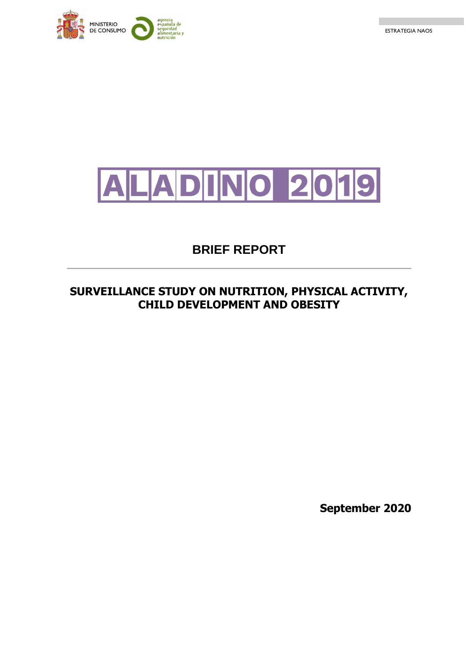





# **BRIEF REPORT**

# **SURVEILLANCE STUDY ON NUTRITION, PHYSICAL ACTIVITY, CHILD DEVELOPMENT AND OBESITY**

**September 2020**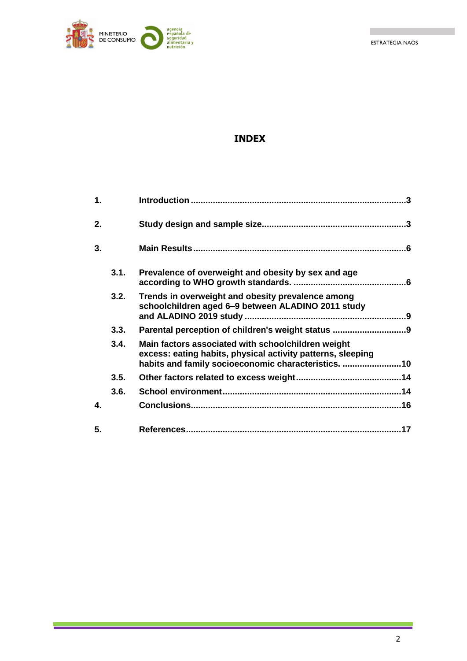ESTRATEGIA NAOS



# **INDEX**

| 1. |      |                                                                                                                                                                          |     |
|----|------|--------------------------------------------------------------------------------------------------------------------------------------------------------------------------|-----|
| 2. |      |                                                                                                                                                                          |     |
| 3. |      |                                                                                                                                                                          |     |
|    | 3.1. | Prevalence of overweight and obesity by sex and age                                                                                                                      |     |
|    | 3.2. | Trends in overweight and obesity prevalence among<br>schoolchildren aged 6-9 between ALADINO 2011 study                                                                  |     |
|    | 3.3. | Parental perception of children's weight status 9                                                                                                                        |     |
|    | 3.4. | Main factors associated with schoolchildren weight<br>excess: eating habits, physical activity patterns, sleeping<br>habits and family socioeconomic characteristics. 10 |     |
|    | 3.5. |                                                                                                                                                                          |     |
|    | 3.6. |                                                                                                                                                                          |     |
| 4. |      |                                                                                                                                                                          |     |
| 5. |      |                                                                                                                                                                          | .17 |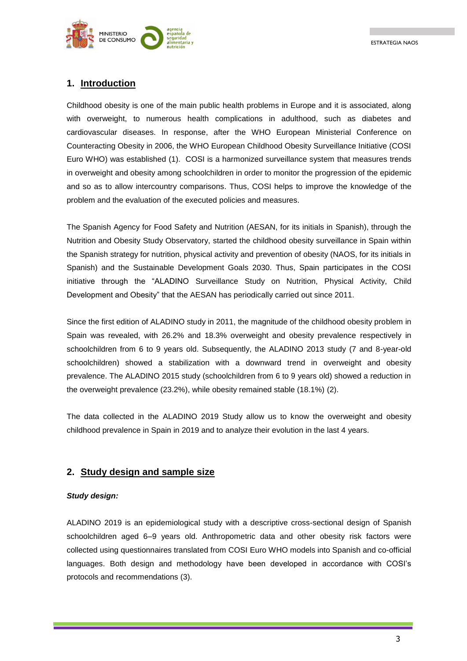

## <span id="page-2-0"></span>**1. Introduction**

Childhood obesity is one of the main public health problems in Europe and it is associated, along with overweight, to numerous health complications in adulthood, such as diabetes and cardiovascular diseases. In response, after the WHO European Ministerial Conference on Counteracting Obesity in 2006, the WHO European Childhood Obesity Surveillance Initiative (COSI Euro WHO) was established (1). COSI is a harmonized surveillance system that measures trends in overweight and obesity among schoolchildren in order to monitor the progression of the epidemic and so as to allow intercountry comparisons. Thus, COSI helps to improve the knowledge of the problem and the evaluation of the executed policies and measures.

The Spanish Agency for Food Safety and Nutrition (AESAN, for its initials in Spanish), through the Nutrition and Obesity Study Observatory, started the childhood obesity surveillance in Spain within the Spanish strategy for nutrition, physical activity and prevention of obesity (NAOS, for its initials in Spanish) and the Sustainable Development Goals 2030. Thus, Spain participates in the COSI initiative through the "ALADINO Surveillance Study on Nutrition, Physical Activity, Child Development and Obesity" that the AESAN has periodically carried out since 2011.

Since the first edition of ALADINO study in 2011, the magnitude of the childhood obesity problem in Spain was revealed, with 26.2% and 18.3% overweight and obesity prevalence respectively in schoolchildren from 6 to 9 years old. Subsequently, the ALADINO 2013 study (7 and 8-year-old schoolchildren) showed a stabilization with a downward trend in overweight and obesity prevalence. The ALADINO 2015 study (schoolchildren from 6 to 9 years old) showed a reduction in the overweight prevalence (23.2%), while obesity remained stable (18.1%) (2).

The data collected in the ALADINO 2019 Study allow us to know the overweight and obesity childhood prevalence in Spain in 2019 and to analyze their evolution in the last 4 years.

## <span id="page-2-1"></span>**2. Study design and sample size**

#### *Study design:*

ALADINO 2019 is an epidemiological study with a descriptive cross-sectional design of Spanish schoolchildren aged 6–9 years old. Anthropometric data and other obesity risk factors were collected using questionnaires translated from COSI Euro WHO models into Spanish and co-official languages. Both design and methodology have been developed in accordance with COSI's protocols and recommendations (3).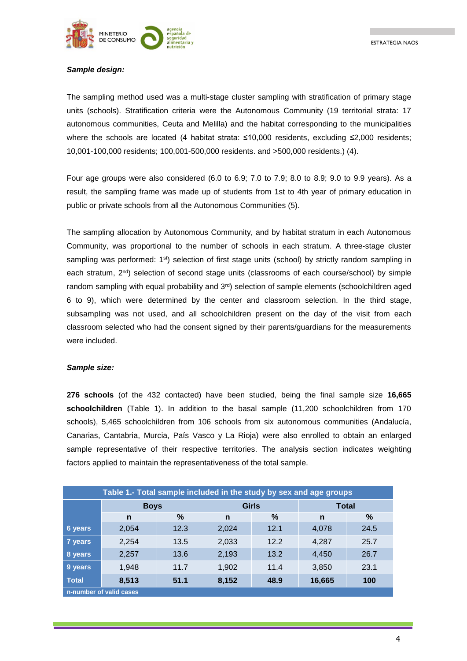

#### *Sample design:*

The sampling method used was a multi-stage cluster sampling with stratification of primary stage units (schools). Stratification criteria were the Autonomous Community (19 territorial strata: 17 autonomous communities, Ceuta and Melilla) and the habitat corresponding to the municipalities where the schools are located (4 habitat strata: ≤10,000 residents, excluding ≤2,000 residents; 10,001-100,000 residents; 100,001-500,000 residents. and >500,000 residents.) (4).

Four age groups were also considered (6.0 to 6.9; 7.0 to 7.9; 8.0 to 8.9; 9.0 to 9.9 years). As a result, the sampling frame was made up of students from 1st to 4th year of primary education in public or private schools from all the Autonomous Communities (5).

The sampling allocation by Autonomous Community, and by habitat stratum in each Autonomous Community, was proportional to the number of schools in each stratum. A three-stage cluster sampling was performed: 1<sup>st</sup>) selection of first stage units (school) by strictly random sampling in each stratum, 2<sup>nd</sup>) selection of second stage units (classrooms of each course/school) by simple random sampling with equal probability and  $3<sup>rd</sup>$ ) selection of sample elements (schoolchildren aged 6 to 9), which were determined by the center and classroom selection. In the third stage, subsampling was not used, and all schoolchildren present on the day of the visit from each classroom selected who had the consent signed by their parents/guardians for the measurements were included.

#### *Sample size:*

**276 schools** (of the 432 contacted) have been studied, being the final sample size **16,665 schoolchildren** (Table 1). In addition to the basal sample (11,200 schoolchildren from 170 schools), 5,465 schoolchildren from 106 schools from six autonomous communities (Andalucía, Canarias, Cantabria, Murcia, País Vasco y La Rioja) were also enrolled to obtain an enlarged sample representative of their respective territories. The analysis section indicates weighting factors applied to maintain the representativeness of the total sample.

| Table 1.- Total sample included in the study by sex and age groups |             |      |              |      |              |      |  |  |  |
|--------------------------------------------------------------------|-------------|------|--------------|------|--------------|------|--|--|--|
|                                                                    | <b>Boys</b> |      | <b>Girls</b> |      | <b>Total</b> |      |  |  |  |
|                                                                    | n           | %    | n            | ℅    | n            | %    |  |  |  |
| 6 years                                                            | 2,054       | 12.3 | 2,024        | 12.1 | 4,078        | 24.5 |  |  |  |
| 7 years                                                            | 2,254       | 13.5 | 2,033        | 12.2 | 4,287        | 25.7 |  |  |  |
| 8 years                                                            | 2,257       | 13.6 | 2,193        | 13.2 | 4,450        | 26.7 |  |  |  |
| 9 years                                                            | 1,948       | 11.7 | 1,902        | 11.4 | 3,850        | 23.1 |  |  |  |
| <b>Total</b>                                                       | 8,513       | 51.1 | 8,152        | 48.9 | 16,665       | 100  |  |  |  |
| n-number of valid cases                                            |             |      |              |      |              |      |  |  |  |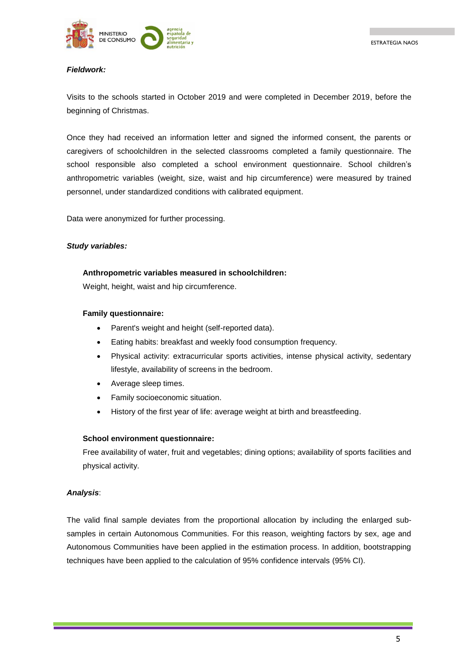

#### *Fieldwork:*

Visits to the schools started in October 2019 and were completed in December 2019, before the beginning of Christmas.

Once they had received an information letter and signed the informed consent, the parents or caregivers of schoolchildren in the selected classrooms completed a family questionnaire. The school responsible also completed a school environment questionnaire. School children's anthropometric variables (weight, size, waist and hip circumference) were measured by trained personnel, under standardized conditions with calibrated equipment.

Data were anonymized for further processing.

#### *Study variables:*

#### **Anthropometric variables measured in schoolchildren:**

Weight, height, waist and hip circumference.

#### **Family questionnaire:**

- Parent's weight and height (self-reported data).
- Eating habits: breakfast and weekly food consumption frequency.
- Physical activity: extracurricular sports activities, intense physical activity, sedentary lifestyle, availability of screens in the bedroom.
- Average sleep times.
- Family socioeconomic situation.
- History of the first year of life: average weight at birth and breastfeeding.

#### **School environment questionnaire:**

Free availability of water, fruit and vegetables; dining options; availability of sports facilities and physical activity.

#### *Analysis*:

The valid final sample deviates from the proportional allocation by including the enlarged subsamples in certain Autonomous Communities. For this reason, weighting factors by sex, age and Autonomous Communities have been applied in the estimation process. In addition, bootstrapping techniques have been applied to the calculation of 95% confidence intervals (95% CI).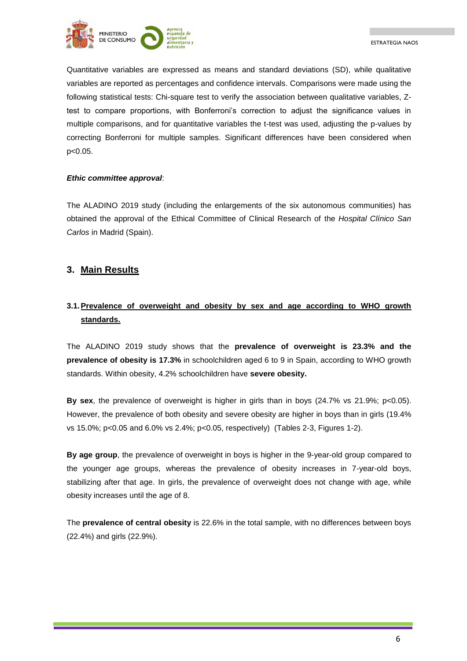

Quantitative variables are expressed as means and standard deviations (SD), while qualitative variables are reported as percentages and confidence intervals. Comparisons were made using the following statistical tests: Chi-square test to verify the association between qualitative variables, Ztest to compare proportions, with Bonferroni's correction to adjust the significance values in multiple comparisons, and for quantitative variables the t-test was used, adjusting the p-values by correcting Bonferroni for multiple samples. Significant differences have been considered when p<0.05.

#### *Ethic committee approval*:

The ALADINO 2019 study (including the enlargements of the six autonomous communities) has obtained the approval of the Ethical Committee of Clinical Research of the *Hospital Clínico San Carlos* in Madrid (Spain).

## <span id="page-5-0"></span>**3. Main Results**

# <span id="page-5-1"></span>**3.1.Prevalence of overweight and obesity by sex and age according to WHO growth standards.**

The ALADINO 2019 study shows that the **prevalence of overweight is 23.3% and the prevalence of obesity is 17.3%** in schoolchildren aged 6 to 9 in Spain, according to WHO growth standards. Within obesity, 4.2% schoolchildren have **severe obesity.** 

**By sex**, the prevalence of overweight is higher in girls than in boys (24.7% vs 21.9%; p<0.05). However, the prevalence of both obesity and severe obesity are higher in boys than in girls (19.4% vs 15.0%; p<0.05 and 6.0% vs 2.4%; p<0.05, respectively) (Tables 2-3, Figures 1-2).

**By age group**, the prevalence of overweight in boys is higher in the 9-year-old group compared to the younger age groups, whereas the prevalence of obesity increases in 7-year-old boys, stabilizing after that age. In girls, the prevalence of overweight does not change with age, while obesity increases until the age of 8.

The **prevalence of central obesity** is 22.6% in the total sample, with no differences between boys (22.4%) and girls (22.9%).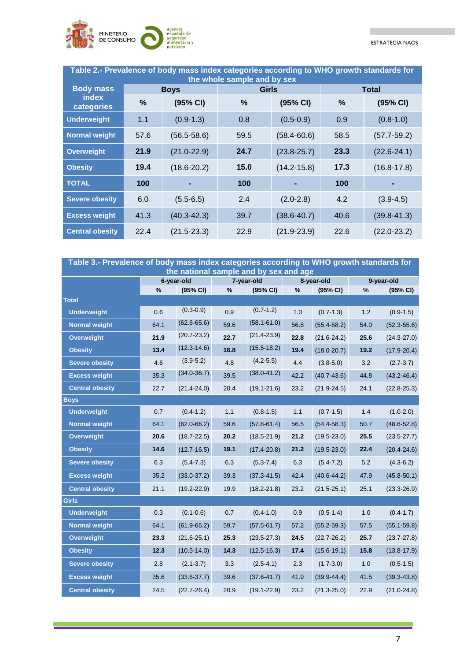

П

| Table 2.- Prevalence of body mass index categories according to WHO growth standards for<br>the whole sample and by sex |      |                 |              |                 |              |                 |  |  |  |  |
|-------------------------------------------------------------------------------------------------------------------------|------|-----------------|--------------|-----------------|--------------|-----------------|--|--|--|--|
| <b>Body mass</b>                                                                                                        |      | <b>Boys</b>     | <b>Girls</b> |                 | <b>Total</b> |                 |  |  |  |  |
| index<br>categories                                                                                                     | %    | (95% CI)        | %            | (95% CI)        | %            | (95% CI)        |  |  |  |  |
| <b>Underweight</b>                                                                                                      | 1.1  | $(0.9-1.3)$     | 0.8          | $(0.5 - 0.9)$   | 0.9          | $(0.8-1.0)$     |  |  |  |  |
| <b>Normal weight</b>                                                                                                    | 57.6 | $(56.5 - 58.6)$ | 59.5         | $(58.4 - 60.6)$ | 58.5         | $(57.7 - 59.2)$ |  |  |  |  |
| <b>Overweight</b>                                                                                                       | 21.9 | $(21.0 - 22.9)$ | 24.7         | $(23.8 - 25.7)$ | 23.3         | $(22.6 - 24.1)$ |  |  |  |  |
| <b>Obesity</b>                                                                                                          | 19.4 | $(18.6 - 20.2)$ | 15.0         | $(14.2 - 15.8)$ | 17.3         | $(16.8 - 17.8)$ |  |  |  |  |
| <b>TOTAL</b>                                                                                                            | 100  |                 | 100          |                 | 100          |                 |  |  |  |  |
| <b>Severe obesity</b>                                                                                                   | 6.0  | $(5.5 - 6.5)$   | 2.4          | $(2.0 - 2.8)$   | 4.2          | $(3.9 - 4.5)$   |  |  |  |  |
| <b>Excess weight</b>                                                                                                    | 41.3 | $(40.3 - 42.3)$ | 39.7         | $(38.6 - 40.7)$ | 40.6         | $(39.8 - 41.3)$ |  |  |  |  |
| <b>Central obesity</b>                                                                                                  | 22.4 | $(21.5 - 23.3)$ | 22.9         | $(21.9 - 23.9)$ | 22.6         | $(22.0 - 23.2)$ |  |  |  |  |

| Table 3.- Prevalence of body mass index categories according to WHO growth standards for |                             |                 |                                        |                 |                             |                 |                             |                 |
|------------------------------------------------------------------------------------------|-----------------------------|-----------------|----------------------------------------|-----------------|-----------------------------|-----------------|-----------------------------|-----------------|
|                                                                                          |                             |                 | the national sample and by sex and age |                 |                             |                 |                             |                 |
|                                                                                          | 6-year-old<br>%<br>(95% CI) |                 | 7-year-old<br>%<br>(95% CI)            |                 | 8-year-old<br>%<br>(95% CI) |                 | 9-year-old<br>(95% CI)<br>% |                 |
| <b>Total</b>                                                                             |                             |                 |                                        |                 |                             |                 |                             |                 |
| <b>Underweight</b>                                                                       | 0.6                         | $(0.3 - 0.9)$   | 0.9                                    | $(0.7 - 1.2)$   | 1.0                         | $(0.7 - 1.3)$   | 1.2                         | $(0.9 - 1.5)$   |
| <b>Normal weight</b>                                                                     | 64.1                        | $(62.6 - 65.6)$ | 59.6                                   | $(58.1 - 61.0)$ | 56.8                        | $(55.4 - 58.2)$ | 54.0                        | $(52.3 - 55.6)$ |
| <b>Overweight</b>                                                                        | 21.9                        | $(20.7 - 23.2)$ | 22.7                                   | $(21.4 - 23.9)$ | 22.8                        | $(21.6 - 24.2)$ | 25.6                        | $(24.3 - 27.0)$ |
| <b>Obesity</b>                                                                           | 13.4                        | $(12.3 - 14.6)$ | 16.8                                   | $(15.5 - 18.2)$ | 19.4                        | $(18.0 - 20.7)$ | 19.2                        | $(17.9 - 20.4)$ |
| <b>Severe obesity</b>                                                                    | 4.6                         | $(3.9 - 5.2)$   | 4.8                                    | $(4.2 - 5.5)$   | 4.4                         | $(3.8 - 5.0)$   | 3.2                         | $(2.7 - 3.7)$   |
| <b>Excess weight</b>                                                                     | 35.3                        | $(34.0 - 36.7)$ | 39.5                                   | $(38.0 - 41.2)$ | 42.2                        | $(40.7 - 43.6)$ | 44.8                        | $(43.2 - 46.4)$ |
| <b>Central obesity</b>                                                                   | 22.7                        | $(21.4 - 24.0)$ | 20.4                                   | $(19.1 - 21.6)$ | 23.2                        | $(21.9 - 24.5)$ | 24.1                        | $(22.8 - 25.3)$ |
| <b>Boys</b>                                                                              |                             |                 |                                        |                 |                             |                 |                             |                 |
| <b>Underweight</b>                                                                       | 0.7                         | $(0.4 - 1.2)$   | 1.1                                    | $(0.8 - 1.5)$   | 1.1                         | $(0.7 - 1.5)$   | $1.4$                       | $(1.0 - 2.0)$   |
| <b>Normal weight</b>                                                                     | 64.1                        | $(62.0 - 66.2)$ | 59.6                                   | $(57.8 - 61.4)$ | 56.5                        | $(54.4 - 58.3)$ | 50.7                        | $(48.6 - 52.8)$ |
| Overweight                                                                               | 20.6                        | $(18.7 - 22.5)$ | 20.2                                   | $(18.5 - 21.9)$ | 21.2                        | $(19.5 - 23.0)$ | 25.5                        | $(23.5 - 27.7)$ |
| <b>Obesity</b>                                                                           | 14.6                        | $(12.7 - 16.5)$ | 19.1                                   | $(17.4 - 20.8)$ | 21.2                        | $(19.5 - 23.0)$ | 22.4                        | $(20.4 - 24.6)$ |
| <b>Severe obesity</b>                                                                    | 6.3                         | $(5.4 - 7.3)$   | 6.3                                    | $(5.3 - 7.4)$   | 6.3                         | $(5.4 - 7.2)$   | 5.2                         | $(4.3 - 6.2)$   |
| <b>Excess weight</b>                                                                     | 35.2                        | $(33.0 - 37.2)$ | 39.3                                   | $(37.3 - 41.5)$ | 42.4                        | $(40.6 - 44.2)$ | 47.9                        | $(45.8 - 50.1)$ |
| <b>Central obesity</b>                                                                   | 21.1                        | $(19.2 - 22.9)$ | 19.9                                   | $(18.2 - 21.8)$ | 23.2                        | $(21.5 - 25.1)$ | 25.1                        | $(23.3 - 26.9)$ |
| <b>Girls</b>                                                                             |                             |                 |                                        |                 |                             |                 |                             |                 |
| <b>Underweight</b>                                                                       | 0.3                         | $(0.1 - 0.6)$   | 0.7                                    | $(0.4 - 1.0)$   | 0.9                         | $(0.5 - 1.4)$   | 1.0                         | $(0.4 - 1.7)$   |
| <b>Normal weight</b>                                                                     | 64.1                        | $(61.9 - 66.2)$ | 59.7                                   | $(57.5 - 61.7)$ | 57.2                        | $(55.2 - 59.3)$ | 57.5                        | $(55.1 - 59.8)$ |
| <b>Overweight</b>                                                                        | 23.3                        | $(21.6 - 25.1)$ | 25.3                                   | $(23.5 - 27.3)$ | 24.5                        | $(22.7 - 26.2)$ | 25.7                        | $(23.7 - 27.8)$ |
| <b>Obesity</b>                                                                           | 12.3                        | $(10.5 - 14.0)$ | 14.3                                   | $(12.5 - 16.3)$ | 17.4                        | $(15.6 - 19.1)$ | 15.8                        | $(13.8 - 17.9)$ |
| <b>Severe obesity</b>                                                                    | 2.8                         | $(2.1 - 3.7)$   | 3.3                                    | $(2.5 - 4.1)$   | 2.3                         | $(1.7 - 3.0)$   | 1.0                         | $(0.5 - 1.5)$   |
| <b>Excess weight</b>                                                                     | 35.6                        | $(33.6 - 37.7)$ | 39.6                                   | $(37.6 - 41.7)$ | 41.9                        | $(39.9 - 44.4)$ | 41.5                        | $(39.3 - 43.8)$ |
| <b>Central obesity</b>                                                                   | 24.5                        | $(22.7 - 26.4)$ | 20.9                                   | $(19.1 - 22.9)$ | 23.2                        | $(21.3 - 25.0)$ | 22.9                        | $(21.0 - 24.8)$ |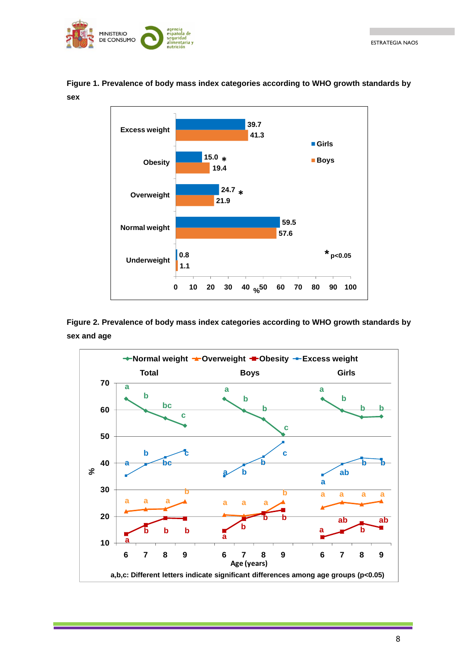



**Figure 1. Prevalence of body mass index categories according to WHO growth standards by sex**

**Figure 2. Prevalence of body mass index categories according to WHO growth standards by sex and age**

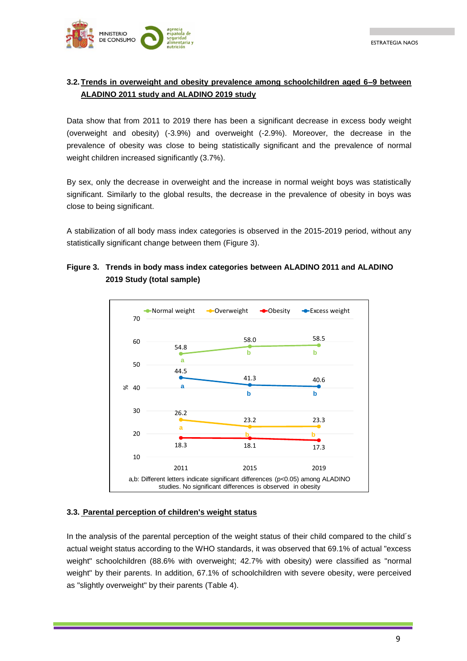

## <span id="page-8-0"></span>**3.2.Trends in overweight and obesity prevalence among schoolchildren aged 6–9 between ALADINO 2011 study and ALADINO 2019 study**

Data show that from 2011 to 2019 there has been a significant decrease in excess body weight (overweight and obesity) (-3.9%) and overweight (-2.9%). Moreover, the decrease in the prevalence of obesity was close to being statistically significant and the prevalence of normal weight children increased significantly (3.7%).

By sex, only the decrease in overweight and the increase in normal weight boys was statistically significant. Similarly to the global results, the decrease in the prevalence of obesity in boys was close to being significant.

A stabilization of all body mass index categories is observed in the 2015-2019 period, without any statistically significant change between them (Figure 3).

## **Figure 3. Trends in body mass index categories between ALADINO 2011 and ALADINO 2019 Study (total sample)**



#### <span id="page-8-1"></span>**3.3. Parental perception of children's weight status**

In the analysis of the parental perception of the weight status of their child compared to the child's actual weight status according to the WHO standards, it was observed that 69.1% of actual "excess weight" schoolchildren (88.6% with overweight; 42.7% with obesity) were classified as "normal weight" by their parents. In addition, 67.1% of schoolchildren with severe obesity, were perceived as "slightly overweight" by their parents (Table 4).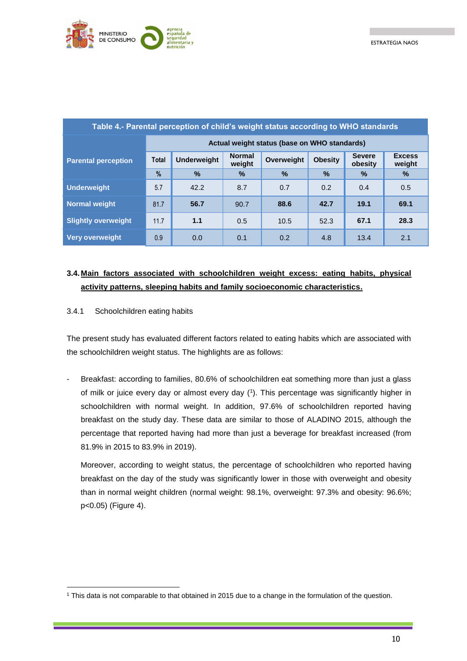

| Table 4.- Parental perception of child's weight status according to WHO standards |               |                    |                         |               |                |                          |                         |  |  |  |
|-----------------------------------------------------------------------------------|---------------|--------------------|-------------------------|---------------|----------------|--------------------------|-------------------------|--|--|--|
| Actual weight status (base on WHO standards)                                      |               |                    |                         |               |                |                          |                         |  |  |  |
| <b>Parental perception</b>                                                        | <b>Total</b>  | <b>Underweight</b> | <b>Normal</b><br>weight | Overweight    | <b>Obesity</b> | <b>Severe</b><br>obesity | <b>Excess</b><br>weight |  |  |  |
|                                                                                   | $\frac{0}{2}$ | $\%$               | $\frac{9}{6}$           | $\frac{9}{6}$ | $\%$           | %                        | $\%$                    |  |  |  |
| <b>Underweight</b>                                                                | 5.7           | 42.2               | 8.7                     | 0.7           | 0.2            | 0.4                      | 0.5                     |  |  |  |
| <b>Normal weight</b>                                                              | 81.7          | 56.7               | 90.7                    | 88.6          | 42.7           | 19.1                     | 69.1                    |  |  |  |
| <b>Slightly overweight</b>                                                        | 11.7          | 1.1                | 0.5                     | 10.5          | 52.3           | 67.1                     | 28.3                    |  |  |  |
| <b>Very overweight</b>                                                            | 0.9           | 0.0                | 0.1                     | 0.2           | 4.8            | 13.4                     | 2.1                     |  |  |  |

## <span id="page-9-0"></span>**3.4. Main factors associated with schoolchildren weight excess: eating habits, physical activity patterns, sleeping habits and family socioeconomic characteristics.**

#### 3.4.1 Schoolchildren eating habits

1

The present study has evaluated different factors related to eating habits which are associated with the schoolchildren weight status. The highlights are as follows:

Breakfast: according to families, 80.6% of schoolchildren eat something more than just a glass of milk or juice every day or almost every day ( 1 ). This percentage was significantly higher in schoolchildren with normal weight. In addition, 97.6% of schoolchildren reported having breakfast on the study day. These data are similar to those of ALADINO 2015, although the percentage that reported having had more than just a beverage for breakfast increased (from 81.9% in 2015 to 83.9% in 2019).

Moreover, according to weight status, the percentage of schoolchildren who reported having breakfast on the day of the study was significantly lower in those with overweight and obesity than in normal weight children (normal weight: 98.1%, overweight: 97.3% and obesity: 96.6%; p<0.05) (Figure 4).

<sup>1</sup> This data is not comparable to that obtained in 2015 due to a change in the formulation of the question.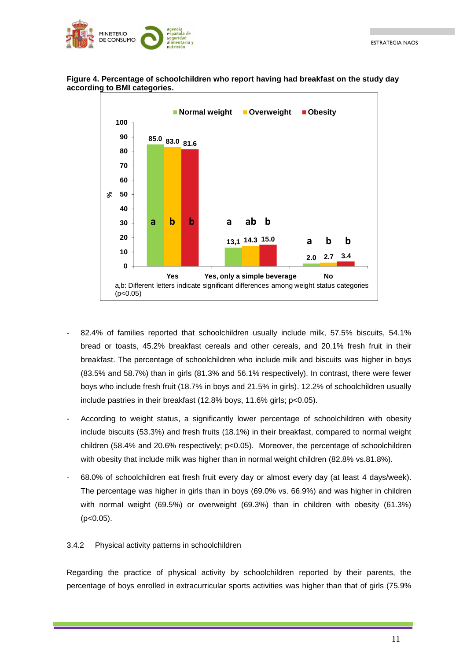



#### **Figure 4. Percentage of schoolchildren who report having had breakfast on the study day according to BMI categories.**

- 82.4% of families reported that schoolchildren usually include milk, 57.5% biscuits, 54.1% bread or toasts, 45.2% breakfast cereals and other cereals, and 20.1% fresh fruit in their breakfast. The percentage of schoolchildren who include milk and biscuits was higher in boys (83.5% and 58.7%) than in girls (81.3% and 56.1% respectively). In contrast, there were fewer boys who include fresh fruit (18.7% in boys and 21.5% in girls). 12.2% of schoolchildren usually include pastries in their breakfast (12.8% boys, 11.6% girls; p<0.05).
- According to weight status, a significantly lower percentage of schoolchildren with obesity include biscuits (53.3%) and fresh fruits (18.1%) in their breakfast, compared to normal weight children (58.4% and 20.6% respectively; p<0.05). Moreover, the percentage of schoolchildren with obesity that include milk was higher than in normal weight children (82.8% vs.81.8%).
- 68.0% of schoolchildren eat fresh fruit every day or almost every day (at least 4 days/week). The percentage was higher in girls than in boys (69.0% vs. 66.9%) and was higher in children with normal weight (69.5%) or overweight (69.3%) than in children with obesity (61.3%)  $(p<0.05)$ .

### 3.4.2 Physical activity patterns in schoolchildren

Regarding the practice of physical activity by schoolchildren reported by their parents, the percentage of boys enrolled in extracurricular sports activities was higher than that of girls (75.9%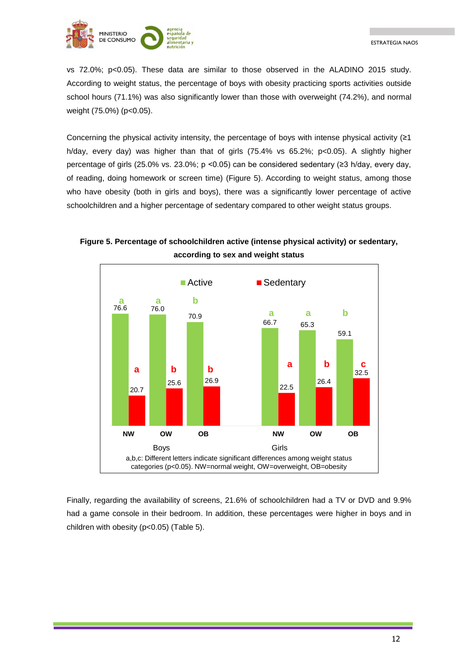

vs 72.0%; p<0.05). These data are similar to those observed in the ALADINO 2015 study. According to weight status, the percentage of boys with obesity practicing sports activities outside school hours (71.1%) was also significantly lower than those with overweight (74.2%), and normal weight (75.0%) (p<0.05).

Concerning the physical activity intensity, the percentage of boys with intense physical activity  $(≥1)$ h/day, every day) was higher than that of girls (75.4% vs 65.2%; p<0.05). A slightly higher percentage of girls (25.0% vs. 23.0%; p <0.05) can be considered sedentary (≥3 h/day, every day, of reading, doing homework or screen time) (Figure 5). According to weight status, among those who have obesity (both in girls and boys), there was a significantly lower percentage of active schoolchildren and a higher percentage of sedentary compared to other weight status groups.



**Figure 5. Percentage of schoolchildren active (intense physical activity) or sedentary, according to sex and weight status**

Finally, regarding the availability of screens, 21.6% of schoolchildren had a TV or DVD and 9.9% had a game console in their bedroom. In addition, these percentages were higher in boys and in children with obesity (p<0.05) (Table 5).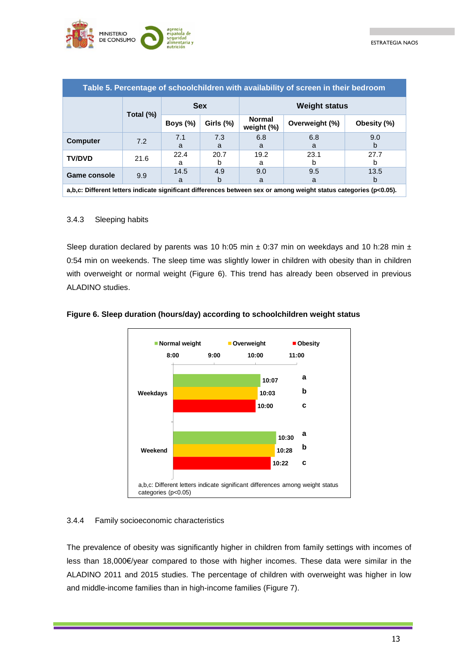

| Table 5. Percentage of schoolchildren with availability of screen in their bedroom                                |           |             |              |                             |                |             |  |  |  |
|-------------------------------------------------------------------------------------------------------------------|-----------|-------------|--------------|-----------------------------|----------------|-------------|--|--|--|
|                                                                                                                   | Total (%) | <b>Sex</b>  |              | <b>Weight status</b>        |                |             |  |  |  |
|                                                                                                                   |           | Boys $(\%)$ | Girls $(\%)$ | <b>Normal</b><br>weight (%) | Overweight (%) | Obesity (%) |  |  |  |
| <b>Computer</b>                                                                                                   | 7.2       | 7.1         | 7.3          | 6.8                         | 6.8            | 9.0         |  |  |  |
|                                                                                                                   |           | a           | a            | a                           | a              | b           |  |  |  |
| <b>TV/DVD</b>                                                                                                     | 21.6      | 22.4        | 20.7         | 19.2                        | 23.1           | 27.7        |  |  |  |
|                                                                                                                   |           | a           | b            | a                           | b              | h           |  |  |  |
| <b>Game console</b>                                                                                               | 9.9       | 14.5        | 4.9          | 9.0                         | 9.5            | 13.5        |  |  |  |
|                                                                                                                   |           | a           | b            | a                           | a              | b           |  |  |  |
| a,b,c: Different letters indicate significant differences between sex or among weight status categories (p<0.05). |           |             |              |                             |                |             |  |  |  |

#### 3.4.3 Sleeping habits

Sleep duration declared by parents was 10 h:05 min  $\pm$  0:37 min on weekdays and 10 h:28 min  $\pm$ 0:54 min on weekends. The sleep time was slightly lower in children with obesity than in children with overweight or normal weight (Figure 6). This trend has already been observed in previous ALADINO studies.



#### **Figure 6. Sleep duration (hours/day) according to schoolchildren weight status**

#### 3.4.4 Family socioeconomic characteristics

The prevalence of obesity was significantly higher in children from family settings with incomes of less than 18,000€/year compared to those with higher incomes. These data were similar in the ALADINO 2011 and 2015 studies. The percentage of children with overweight was higher in low and middle-income families than in high-income families (Figure 7).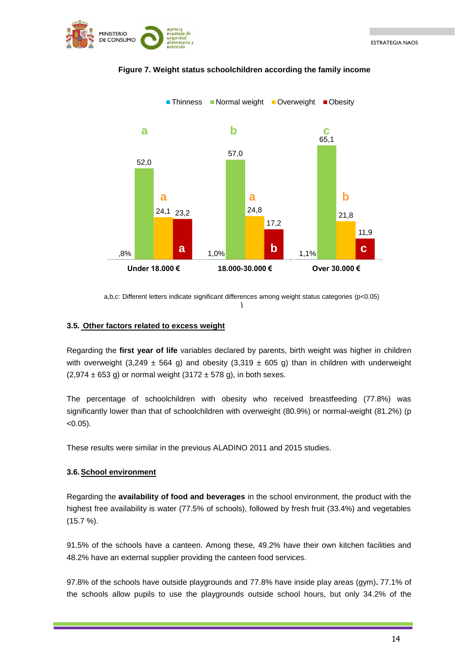



#### **Figure 7. Weight status schoolchildren according the family income**

a,b,c: Different letters indicate significant differences among weight status categories (p<0.05) )

#### <span id="page-13-0"></span>**3.5. Other factors related to excess weight**

Regarding the **first year of life** variables declared by parents, birth weight was higher in children with overweight (3,249  $\pm$  564 g) and obesity (3,319  $\pm$  605 g) than in children with underweight  $(2.974 \pm 653 \text{ a})$  or normal weight  $(3172 \pm 578 \text{ a})$ , in both sexes.

The percentage of schoolchildren with obesity who received breastfeeding (77.8%) was significantly lower than that of schoolchildren with overweight (80.9%) or normal-weight (81.2%) (p  $< 0.05$ ).

These results were similar in the previous ALADINO 2011 and 2015 studies.

#### <span id="page-13-1"></span>**3.6.School environment**

Regarding the **availability of food and beverages** in the school environment, the product with the highest free availability is water (77.5% of schools), followed by fresh fruit (33.4%) and vegetables (15.7 %).

91.5% of the schools have a canteen. Among these, 49.2% have their own kitchen facilities and 48.2% have an external supplier providing the canteen food services.

97.8% of the schools have outside playgrounds and 77.8% have inside play areas (gym)**.** 77.1% of the schools allow pupils to use the playgrounds outside school hours, but only 34.2% of the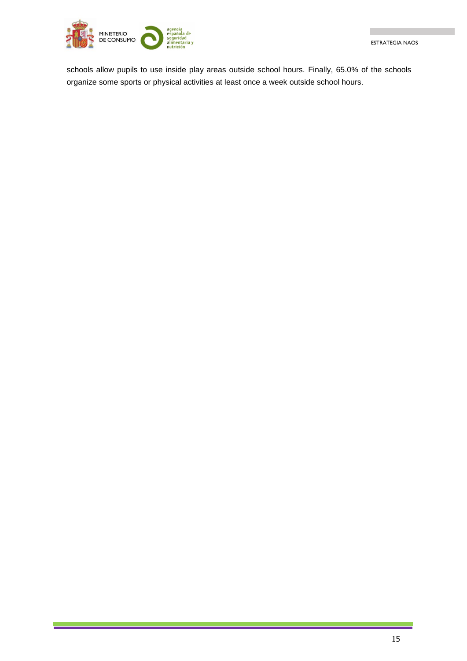

schools allow pupils to use inside play areas outside school hours. Finally, 65.0% of the schools organize some sports or physical activities at least once a week outside school hours.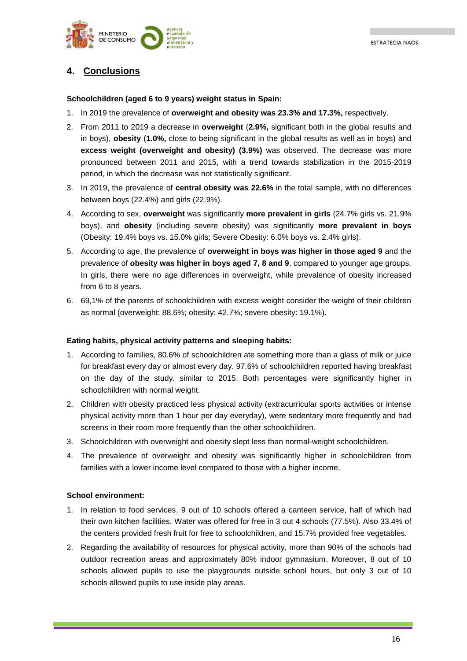

# <span id="page-15-0"></span>**4. Conclusions**

#### **Schoolchildren (aged 6 to 9 years) weight status in Spain:**

- 1. In 2019 the prevalence of **overweight and obesity was 23.3% and 17.3%,** respectively.
- 2. From 2011 to 2019 a decrease in **overweight** (**2.9%,** significant both in the global results and in boys), **obesity** (**1.0%,** close to being significant in the global results as well as in boys) and **excess weight (overweight and obesity) (3.9%)** was observed. The decrease was more pronounced between 2011 and 2015, with a trend towards stabilization in the 2015-2019 period, in which the decrease was not statistically significant.
- 3. In 2019, the prevalence of **central obesity was 22.6%** in the total sample, with no differences between boys (22.4%) and girls (22.9%).
- 4. According to sex, **overweight** was significantly **more prevalent in girls** (24.7% girls vs. 21.9% boys), and **obesity** (including severe obesity) was significantly **more prevalent in boys** (Obesity: 19.4% boys vs. 15.0% girls; Severe Obesity: 6.0% boys vs. 2.4% girls).
- 5. According to age, the prevalence of **overweight in boys was higher in those aged 9** and the prevalence of **obesity was higher in boys aged 7, 8 and 9**, compared to younger age groups. In girls, there were no age differences in overweight, while prevalence of obesity increased from 6 to 8 years.
- 6. 69,1% of the parents of schoolchildren with excess weight consider the weight of their children as normal (overweight: 88.6%; obesity: 42.7%; severe obesity: 19.1%).

#### **Eating habits, physical activity patterns and sleeping habits:**

- 1. According to families, 80.6% of schoolchildren ate something more than a glass of milk or juice for breakfast every day or almost every day. 97.6% of schoolchildren reported having breakfast on the day of the study, similar to 2015. Both percentages were significantly higher in schoolchildren with normal weight.
- 2. Children with obesity practiced less physical activity (extracurricular sports activities or intense physical activity more than 1 hour per day everyday), were sedentary more frequently and had screens in their room more frequently than the other schoolchildren.
- 3. Schoolchildren with overweight and obesity slept less than normal-weight schoolchildren.
- 4. The prevalence of overweight and obesity was significantly higher in schoolchildren from families with a lower income level compared to those with a higher income.

#### **School environment:**

- 1. In relation to food services, 9 out of 10 schools offered a canteen service, half of which had their own kitchen facilities. Water was offered for free in 3 out 4 schools (77.5%). Also 33.4% of the centers provided fresh fruit for free to schoolchildren, and 15.7% provided free vegetables.
- 2. Regarding the availability of resources for physical activity, more than 90% of the schools had outdoor recreation areas and approximately 80% indoor gymnasium. Moreover, 8 out of 10 schools allowed pupils to use the playgrounds outside school hours, but only 3 out of 10 schools allowed pupils to use inside play areas.